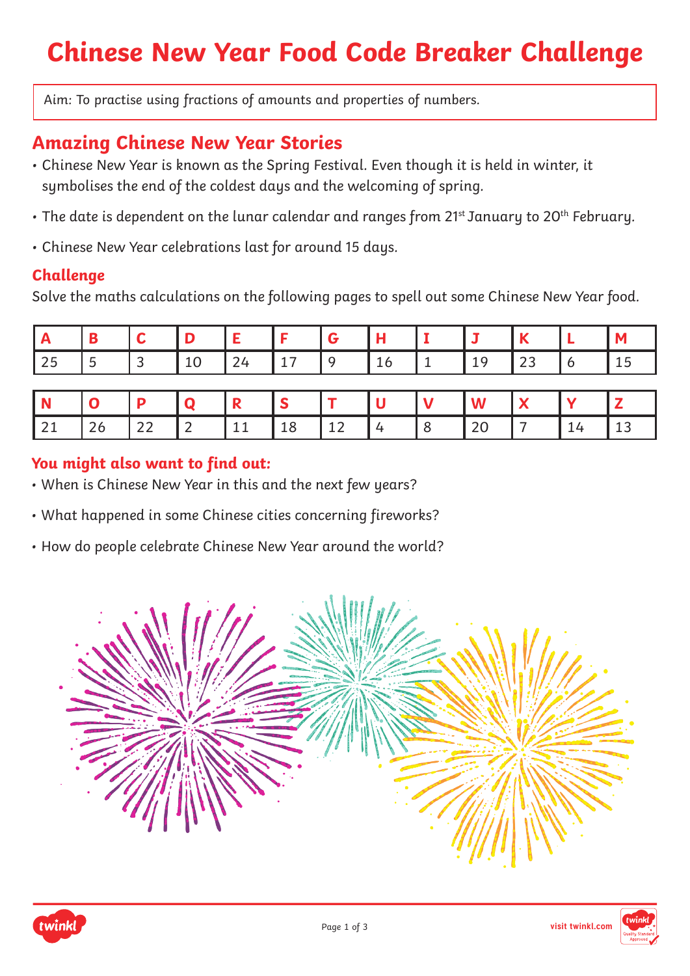# **Chinese New Year Food Code Breaker Challenge**

Aim: To practise using fractions of amounts and properties of numbers.

### **Amazing Chinese New Year Stories**

- Chinese New Year is known as the Spring Festival. Even though it is held in winter, it symbolises the end of the coldest days and the welcoming of spring.
- The date is dependent on the lunar calendar and ranges from 21st January to 20<sup>th</sup> February.
- Chinese New Year celebrations last for around 15 days.

#### **Challenge**

Solve the maths calculations on the following pages to spell out some Chinese New Year food.

|  |  |  |  |  | -- |  |
|--|--|--|--|--|----|--|

|                          |    |  |    |    |  | w |  |    |
|--------------------------|----|--|----|----|--|---|--|----|
| $\overline{\phantom{a}}$ | -- |  | -- | -- |  |   |  | -- |

#### **You might also want to find out:**

- When is Chinese New Year in this and the next few years?
- What happened in some Chinese cities concerning fireworks?
- How do people celebrate Chinese New Year around the world?





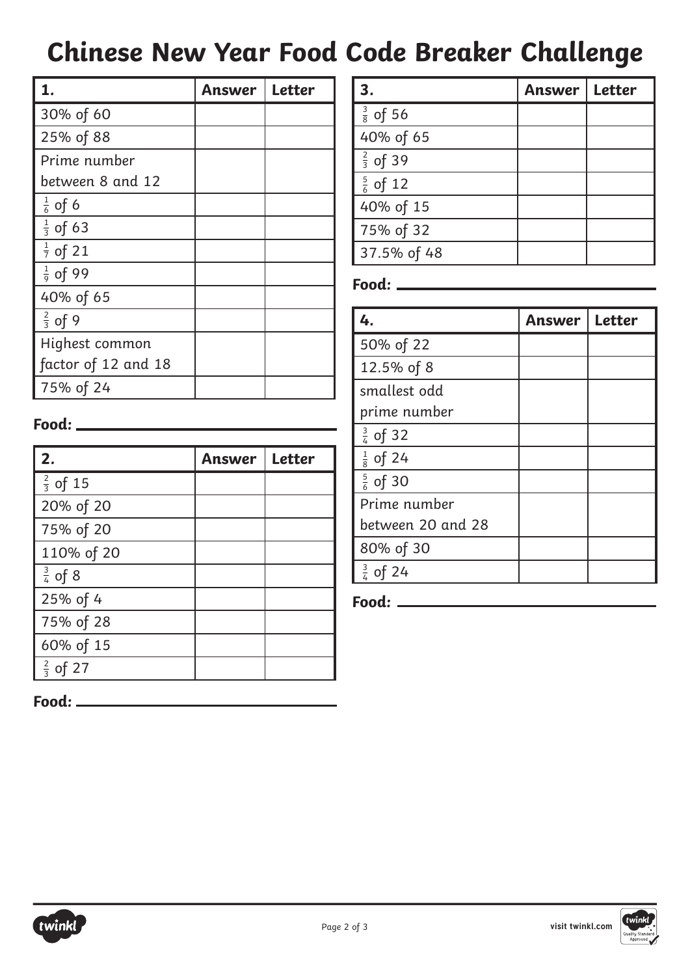## **Chinese New Year Food Code Breaker Challenge**

|                     | Answer | <b>Letter</b> |
|---------------------|--------|---------------|
| 30% of 60           |        |               |
| 25% of 88           |        |               |
| Prime number        |        |               |
| between 8 and 12    |        |               |
| $rac{1}{6}$ of 6    |        |               |
| $\frac{1}{3}$ of 63 |        |               |
| $\frac{1}{7}$ of 21 |        |               |
| $rac{1}{9}$ of 99   |        |               |
| 40% of 65           |        |               |
| $rac{2}{3}$ of 9    |        |               |
| Highest common      |        |               |
| factor of 12 and 18 |        |               |
| 75% of 24           |        |               |

| 3.                  | Answer | Letter |
|---------------------|--------|--------|
| $\frac{3}{8}$ of 56 |        |        |
| 40% of 65           |        |        |
| $\frac{2}{3}$ of 39 |        |        |
| $\frac{5}{6}$ of 12 |        |        |
| 40% of 15           |        |        |
| 75% of 32           |        |        |
| 37.5% of 48         |        |        |
|                     |        |        |

### **Food:**

| 4.                  | Answer | Letter |
|---------------------|--------|--------|
| 50% of 22           |        |        |
| 12.5% of 8          |        |        |
| smallest odd        |        |        |
| prime number        |        |        |
| $\frac{3}{4}$ of 32 |        |        |
| $\frac{1}{8}$ of 24 |        |        |
| $\frac{5}{6}$ of 30 |        |        |
| Prime number        |        |        |
| between 20 and 28   |        |        |
| 80% of 30           |        |        |
| $\frac{3}{4}$ of 24 |        |        |

**Food:**

#### **Food:**

| 2.                      | Answer | <b>Letter</b> |
|-------------------------|--------|---------------|
| $\frac{2}{3}$ of 15     |        |               |
| 20% of 20               |        |               |
| 75% of 20               |        |               |
| 110% of 20              |        |               |
| $\frac{3}{4}$ of 8      |        |               |
| 25% of 4                |        |               |
| 75% of 28               |        |               |
| 60% of 15               |        |               |
| $\frac{2}{3}$ of<br>-27 |        |               |



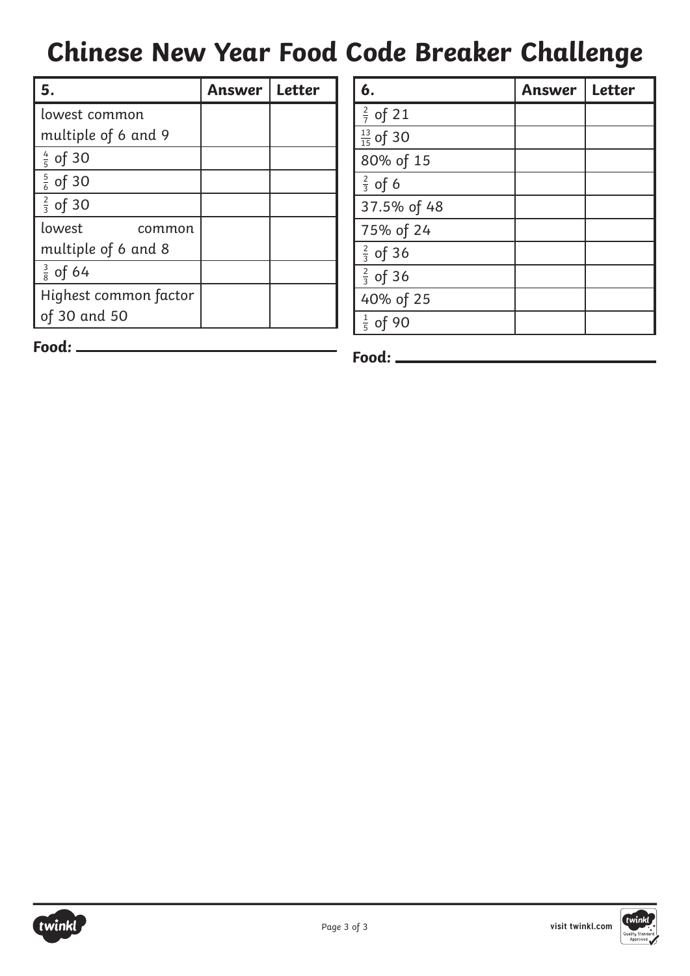## **Chinese New Year Food Code Breaker Challenge**

| 5.                    | Answer | <b>Letter</b> |
|-----------------------|--------|---------------|
| lowest common         |        |               |
| multiple of 6 and 9   |        |               |
| $\frac{4}{5}$ of 30   |        |               |
| $\frac{5}{6}$ of 30   |        |               |
| $\frac{2}{3}$ of 30   |        |               |
| lowest<br>common      |        |               |
| multiple of 6 and 8   |        |               |
| $\frac{3}{8}$ of 64   |        |               |
| Highest common factor |        |               |
| of 30 and 50          |        |               |

| 6.                    | <b>Answer</b> | <b>Letter</b> |
|-----------------------|---------------|---------------|
| $rac{2}{7}$ of 21     |               |               |
| $\frac{13}{15}$ of 30 |               |               |
| 80% of 15             |               |               |
| $rac{2}{3}$ of 6      |               |               |
| 37.5% of 48           |               |               |
| 75% of 24             |               |               |
| $rac{2}{3}$ of 36     |               |               |
| $rac{2}{3}$ of 36     |               |               |
| 40% of 25             |               |               |
| $\frac{1}{5}$ of 90   |               |               |
|                       |               |               |

**Food:**



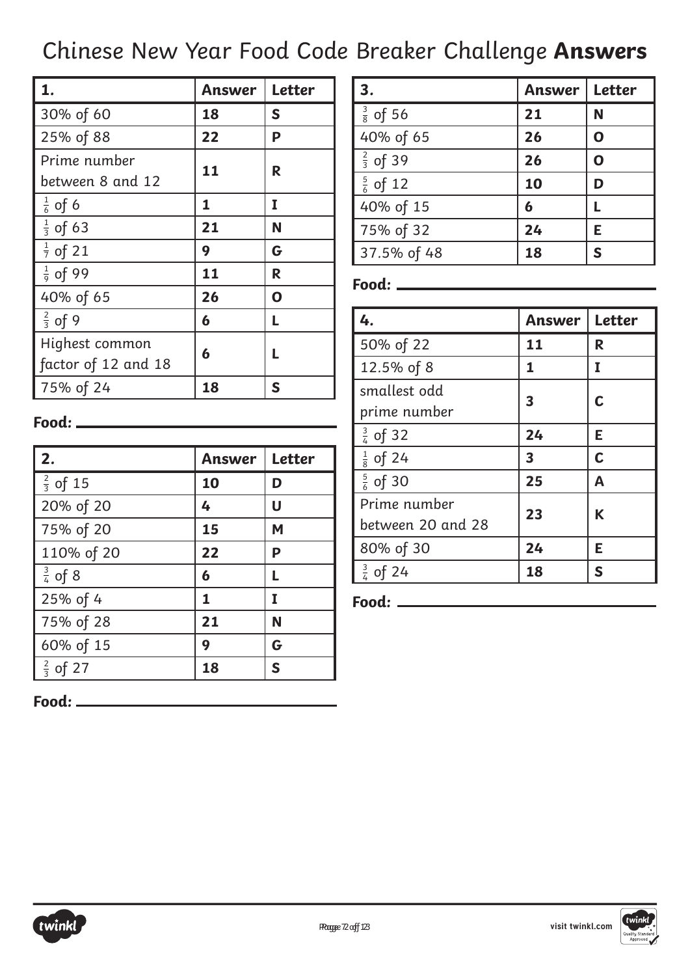### Chinese New Year Food Code Breaker Challenge **Answers**

| l 1.                | Answer | <b>Letter</b> |
|---------------------|--------|---------------|
| 30% of 60           | 18     | S             |
| 25% of 88           | 22     | P             |
| Prime number        | 11     |               |
| between 8 and 12    |        | R             |
| $\frac{1}{6}$ of 6  | 1      | I             |
| $\frac{1}{3}$ of 63 | 21     | N             |
| $\frac{1}{7}$ of 21 | 9      | G             |
| $rac{1}{9}$ of 99   | 11     | R             |
| 40% of 65           | 26     | O             |
| $\frac{2}{3}$ of 9  | 6      | L             |
| Highest common      | 6      |               |
| factor of 12 and 18 |        |               |
| 75% of 24           | 18     | S             |

| 3.                  | <b>Answer</b> | <b>Letter</b> |
|---------------------|---------------|---------------|
| $\frac{3}{8}$ of 56 | 21            | N             |
| 40% of 65           | 26            | O             |
| $\frac{2}{3}$ of 39 | 26            | $\mathbf 0$   |
| $\frac{5}{6}$ of 12 | 10            | D             |
| 40% of 15           | 6             | L             |
| 75% of 32           | 24            | E             |
| 37.5% of 48         | 18            | S             |

#### **Food:**

| 4.                  | Answer | Letter      |
|---------------------|--------|-------------|
| 50% of 22           | 11     | R           |
| 12.5% of 8          | 1      | I           |
| smallest odd        | 3      | C           |
| prime number        |        |             |
| $\frac{3}{4}$ of 32 | 24     | Е           |
| $\frac{1}{8}$ of 24 | 3      | $\mathbf c$ |
| $\frac{5}{6}$ of 30 | 25     | A           |
| Prime number        | 23     |             |
| between 20 and 28   |        | K           |
| 80% of 30           | 24     | Е           |
| $\frac{3}{4}$ of 24 | 18     | S           |

**Food:**

#### **Food:**

| l 2.                | <b>Answer</b> | <b>Letter</b> |
|---------------------|---------------|---------------|
| $\frac{2}{3}$ of 15 | 10            | D             |
| 20% of 20           | 4             | U             |
| 75% of 20           | 15            | M             |
| 110% of 20          | 22            | Ρ             |
| $\frac{3}{4}$ of 8  | 6             |               |
| 25% of 4            | 1             | I             |
| 75% of 28           | 21            | N             |
| 60% of 15           | 9             | G             |
| $\frac{2}{3}$ of 27 | 18            | S             |